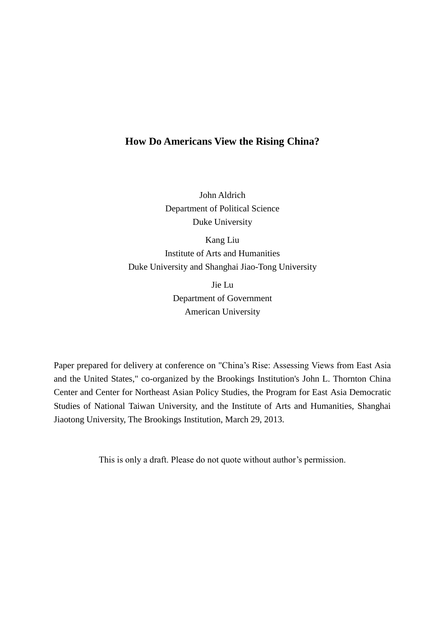# **How Do Americans View the Rising China?**

John Aldrich Department of Political Science Duke University

Kang Liu Institute of Arts and Humanities Duke University and Shanghai Jiao-Tong University

> Jie Lu Department of Government American University

Paper prepared for delivery at conference on "China's Rise: Assessing Views from East Asia and the United States," co-organized by the Brookings Institution's John L. Thornton China Center and Center for Northeast Asian Policy Studies, the Program for East Asia Democratic Studies of National Taiwan University, and the Institute of Arts and Humanities, Shanghai Jiaotong University, The Brookings Institution, March 29, 2013.

This is only a draft. Please do not quote without author's permission.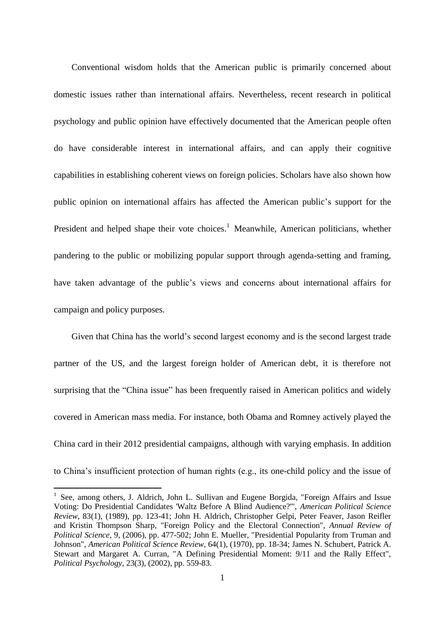Conventional wisdom holds that the American public is primarily concerned about domestic issues rather than international affairs. Nevertheless, recent research in political psychology and public opinion have effectively documented that the American people often do have considerable interest in international affairs, and can apply their cognitive capabilities in establishing coherent views on foreign policies. Scholars have also shown how public opinion on international affairs has affected the American public's support for the President and helped shape their vote choices.<sup>1</sup> Meanwhile, American politicians, whether pandering to the public or mobilizing popular support through agenda-setting and framing, have taken advantage of the public's views and concerns about international affairs for campaign and policy purposes.

Given that China has the world's second largest economy and is the second largest trade partner of the US, and the largest foreign holder of American debt, it is therefore not surprising that the "China issue" has been frequently raised in American politics and widely covered in American mass media. For instance, both Obama and Romney actively played the China card in their 2012 presidential campaigns, although with varying emphasis. In addition to China's insufficient protection of human rights (e.g., its one-child policy and the issue of

<sup>1</sup> See, among others, J. Aldrich, John L. Sullivan and Eugene Borgida, "Foreign Affairs and Issue Voting: Do Presidential Candidates 'Waltz Before A Blind Audience?'", *American Political Science Review*, 83(1), (1989), pp. 123-41; John H. Aldrich, Christopher Gelpi, Peter Feaver, Jason Reifler and Kristin Thompson Sharp, "Foreign Policy and the Electoral Connection", *Annual Review of Political Science*, 9, (2006), pp. 477-502; John E. Mueller, "Presidential Popularity from Truman and Johnson", *American Political Science Review*, 64(1), (1970), pp. 18-34; James N. Schubert, Patrick A. Stewart and Margaret A. Curran, "A Defining Presidential Moment: 9/11 and the Rally Effect", *Political Psychology*, 23(3), (2002), pp. 559-83.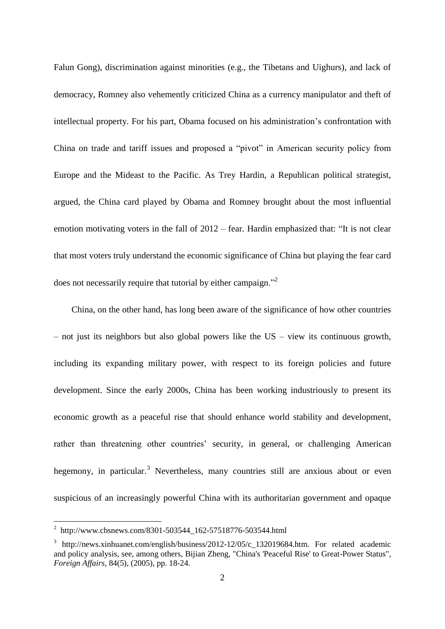Falun Gong), discrimination against minorities (e.g., the Tibetans and Uighurs), and lack of democracy, Romney also vehemently criticized China as a currency manipulator and theft of intellectual property. For his part, Obama focused on his administration's confrontation with China on trade and tariff issues and proposed a "pivot" in American security policy from Europe and the Mideast to the Pacific. As Trey Hardin, a Republican political strategist, argued, the China card played by Obama and Romney brought about the most influential emotion motivating voters in the fall of 2012 – fear. Hardin emphasized that: "It is not clear that most voters truly understand the economic significance of China but playing the fear card does not necessarily require that tutorial by either campaign."<sup>2</sup>

China, on the other hand, has long been aware of the significance of how other countries – not just its neighbors but also global powers like the US – view its continuous growth, including its expanding military power, with respect to its foreign policies and future development. Since the early 2000s, China has been working industriously to present its economic growth as a peaceful rise that should enhance world stability and development, rather than threatening other countries' security, in general, or challenging American hegemony, in particular.<sup>3</sup> Nevertheless, many countries still are anxious about or even suspicious of an increasingly powerful China with its authoritarian government and opaque

 2 http://www.cbsnews.com/8301-503544\_162-57518776-503544.html

<sup>&</sup>lt;sup>3</sup> [http://news.xinhuanet.com/english/business/2012-12/05/c\\_132019684.htm.](http://news.xinhuanet.com/english/business/2012-12/05/c_132019684.htm) For related academic and policy analysis, see, among others, Bijian Zheng, "China's 'Peaceful Rise' to Great-Power Status", *Foreign Affairs*, 84(5), (2005), pp. 18-24.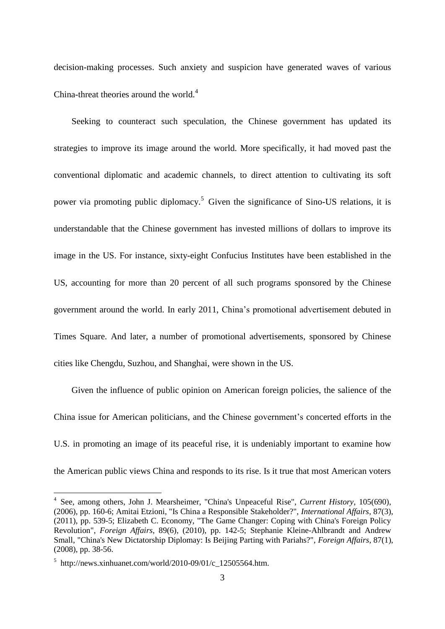decision-making processes. Such anxiety and suspicion have generated waves of various China-threat theories around the world.<sup>4</sup>

Seeking to counteract such speculation, the Chinese government has updated its strategies to improve its image around the world. More specifically, it had moved past the conventional diplomatic and academic channels, to direct attention to cultivating its soft power via promoting public diplomacy.<sup>5</sup> Given the significance of Sino-US relations, it is understandable that the Chinese government has invested millions of dollars to improve its image in the US. For instance, sixty-eight Confucius Institutes have been established in the US, accounting for more than 20 percent of all such programs sponsored by the Chinese government around the world. In early 2011, China's promotional advertisement debuted in Times Square. And later, a number of promotional advertisements, sponsored by Chinese cities like Chengdu, Suzhou, and Shanghai, were shown in the US.

Given the influence of public opinion on American foreign policies, the salience of the China issue for American politicians, and the Chinese government's concerted efforts in the U.S. in promoting an image of its peaceful rise, it is undeniably important to examine how the American public views China and responds to its rise. Is it true that most American voters

<sup>4</sup> See, among others, John J. Mearsheimer, "China's Unpeaceful Rise", *Current History*, 105(690), (2006), pp. 160-6; Amitai Etzioni, "Is China a Responsible Stakeholder?", *International Affairs*, 87(3), (2011), pp. 539-5; Elizabeth C. Economy, "The Game Changer: Coping with China's Foreign Policy Revolution", *Foreign Affairs*, 89(6), (2010), pp. 142-5; Stephanie Kleine-Ahlbrandt and Andrew Small, "China's New Dictatorship Diplomay: Is Beijing Parting with Pariahs?", *Foreign Affairs*, 87(1), (2008), pp. 38-56.

 $5$  http://news.xinhuanet.com/world/2010-09/01/c\_12505564.htm.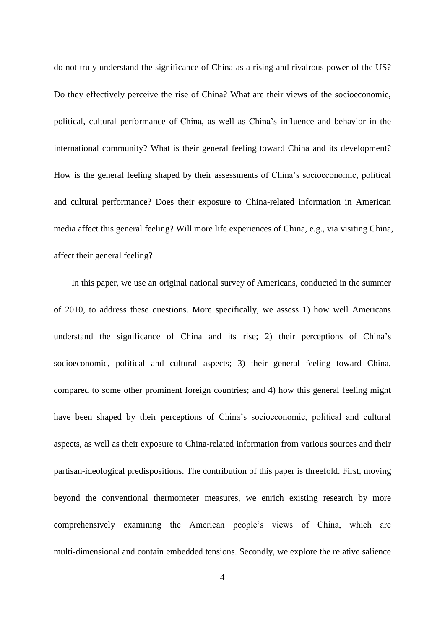do not truly understand the significance of China as a rising and rivalrous power of the US? Do they effectively perceive the rise of China? What are their views of the socioeconomic, political, cultural performance of China, as well as China's influence and behavior in the international community? What is their general feeling toward China and its development? How is the general feeling shaped by their assessments of China's socioeconomic, political and cultural performance? Does their exposure to China-related information in American media affect this general feeling? Will more life experiences of China, e.g., via visiting China, affect their general feeling?

In this paper, we use an original national survey of Americans, conducted in the summer of 2010, to address these questions. More specifically, we assess 1) how well Americans understand the significance of China and its rise; 2) their perceptions of China's socioeconomic, political and cultural aspects; 3) their general feeling toward China, compared to some other prominent foreign countries; and 4) how this general feeling might have been shaped by their perceptions of China's socioeconomic, political and cultural aspects, as well as their exposure to China-related information from various sources and their partisan-ideological predispositions. The contribution of this paper is threefold. First, moving beyond the conventional thermometer measures, we enrich existing research by more comprehensively examining the American people's views of China, which are multi-dimensional and contain embedded tensions. Secondly, we explore the relative salience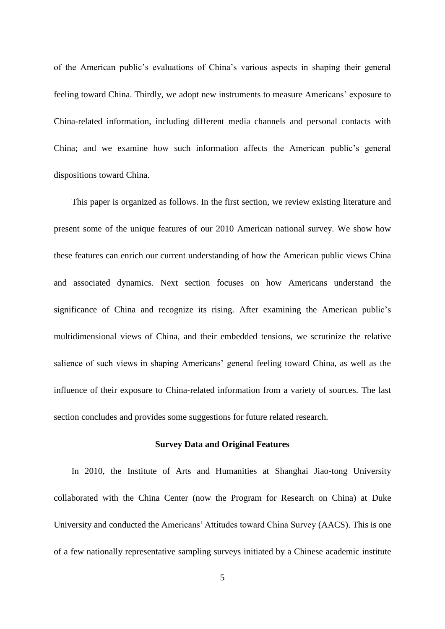of the American public's evaluations of China's various aspects in shaping their general feeling toward China. Thirdly, we adopt new instruments to measure Americans' exposure to China-related information, including different media channels and personal contacts with China; and we examine how such information affects the American public's general dispositions toward China.

This paper is organized as follows. In the first section, we review existing literature and present some of the unique features of our 2010 American national survey. We show how these features can enrich our current understanding of how the American public views China and associated dynamics. Next section focuses on how Americans understand the significance of China and recognize its rising. After examining the American public's multidimensional views of China, and their embedded tensions, we scrutinize the relative salience of such views in shaping Americans' general feeling toward China, as well as the influence of their exposure to China-related information from a variety of sources. The last section concludes and provides some suggestions for future related research.

#### **Survey Data and Original Features**

In 2010, the Institute of Arts and Humanities at Shanghai Jiao-tong University collaborated with the China Center (now the Program for Research on China) at Duke University and conducted the Americans' Attitudes toward China Survey (AACS). This is one of a few nationally representative sampling surveys initiated by a Chinese academic institute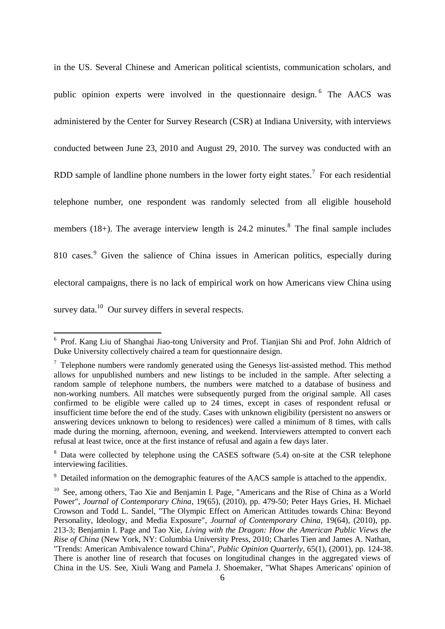in the US. Several Chinese and American political scientists, communication scholars, and public opinion experts were involved in the questionnaire design.<sup>6</sup> The AACS was administered by the Center for Survey Research (CSR) at Indiana University, with interviews conducted between June 23, 2010 and August 29, 2010. The survey was conducted with an RDD sample of landline phone numbers in the lower forty eight states.<sup>7</sup> For each residential telephone number, one respondent was randomly selected from all eligible household members  $(18+)$ . The average interview length is 24.2 minutes.<sup>8</sup> The final sample includes 810 cases.<sup>9</sup> Given the salience of China issues in American politics, especially during electoral campaigns, there is no lack of empirical work on how Americans view China using survey data.<sup>10</sup> Our survey differs in several respects.

Frof. Kang Liu of Shanghai Jiao-tong University and Prof. Tianjian Shi and Prof. John Aldrich of Duke University collectively chaired a team for questionnaire design.

 $7$  Telephone numbers were randomly generated using the Genesys list-assisted method. This method allows for unpublished numbers and new listings to be included in the sample. After selecting a random sample of telephone numbers, the numbers were matched to a database of business and non-working numbers. All matches were subsequently purged from the original sample. All cases confirmed to be eligible were called up to 24 times, except in cases of respondent refusal or insufficient time before the end of the study. Cases with unknown eligibility (persistent no answers or answering devices unknown to belong to residences) were called a minimum of 8 times, with calls made during the morning, afternoon, evening, and weekend. Interviewers attempted to convert each refusal at least twice, once at the first instance of refusal and again a few days later.

<sup>&</sup>lt;sup>8</sup> Data were collected by telephone using the CASES software (5.4) on-site at the CSR telephone interviewing facilities.

<sup>&</sup>lt;sup>9</sup> Detailed information on the demographic features of the AACS sample is attached to the appendix.

<sup>&</sup>lt;sup>10</sup> See, among others, Tao Xie and Benjamin I. Page, "Americans and the Rise of China as a World Power", *Journal of Contemporary China*, 19(65), (2010), pp. 479-50; Peter Hays Gries, H. Michael Crowson and Todd L. Sandel, "The Olympic Effect on American Attitudes towards China: Beyond Personality, Ideology, and Media Exposure", *Journal of Contemporary China*, 19(64), (2010), pp. 213-3; Benjamin I. Page and Tao Xie, *Living with the Dragon: How the American Public Views the Rise of China* (New York, NY: Columbia University Press, 2010; Charles Tien and James A. Nathan, "Trends: American Ambivalence toward China", *Public Opinion Quarterly*, 65(1), (2001), pp. 124-38. There is another line of research that focuses on longitudinal changes in the aggregated views of China in the US. See, Xiuli Wang and Pamela J. Shoemaker, "What Shapes Americans' opinion of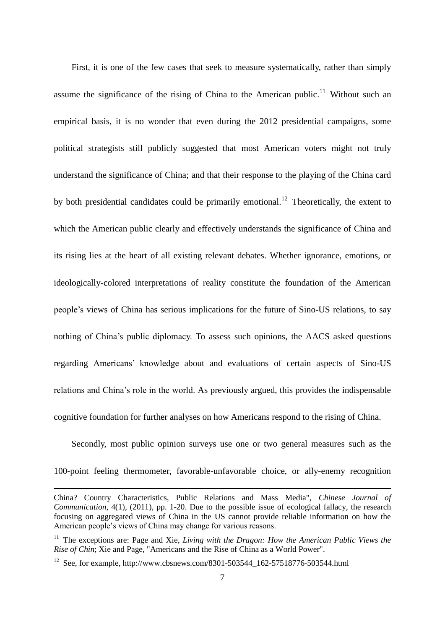First, it is one of the few cases that seek to measure systematically, rather than simply assume the significance of the rising of China to the American public.<sup>11</sup> Without such an empirical basis, it is no wonder that even during the 2012 presidential campaigns, some political strategists still publicly suggested that most American voters might not truly understand the significance of China; and that their response to the playing of the China card by both presidential candidates could be primarily emotional.<sup>12</sup> Theoretically, the extent to which the American public clearly and effectively understands the significance of China and its rising lies at the heart of all existing relevant debates. Whether ignorance, emotions, or ideologically-colored interpretations of reality constitute the foundation of the American people's views of China has serious implications for the future of Sino-US relations, to say nothing of China's public diplomacy. To assess such opinions, the AACS asked questions regarding Americans' knowledge about and evaluations of certain aspects of Sino-US relations and China's role in the world. As previously argued, this provides the indispensable cognitive foundation for further analyses on how Americans respond to the rising of China.

Secondly, most public opinion surveys use one or two general measures such as the 100-point feeling thermometer, favorable-unfavorable choice, or ally-enemy recognition

China? Country Characteristics, Public Relations and Mass Media", *Chinese Journal of Communication*, 4(1), (2011), pp. 1-20. Due to the possible issue of ecological fallacy, the research focusing on aggregated views of China in the US cannot provide reliable information on how the American people's views of China may change for various reasons.

<sup>&</sup>lt;sup>11</sup> The exceptions are: Page and Xie, *Living with the Dragon: How the American Public Views the Rise of Chin*; Xie and Page, "Americans and the Rise of China as a World Power".

<sup>&</sup>lt;sup>12</sup> See, for example, http://www.cbsnews.com/8301-503544\_162-57518776-503544.html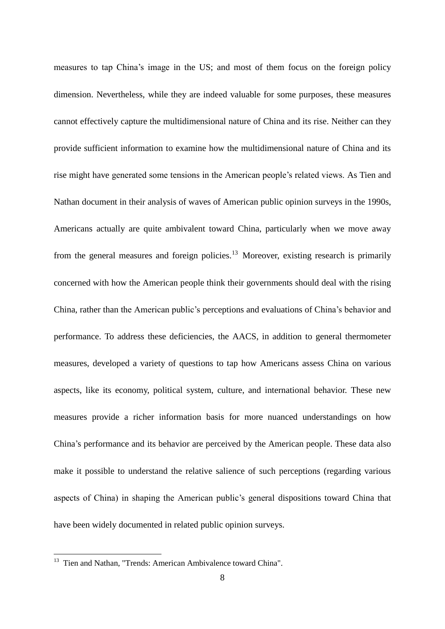measures to tap China's image in the US; and most of them focus on the foreign policy dimension. Nevertheless, while they are indeed valuable for some purposes, these measures cannot effectively capture the multidimensional nature of China and its rise. Neither can they provide sufficient information to examine how the multidimensional nature of China and its rise might have generated some tensions in the American people's related views. As Tien and Nathan document in their analysis of waves of American public opinion surveys in the 1990s, Americans actually are quite ambivalent toward China, particularly when we move away from the general measures and foreign policies.<sup>13</sup> Moreover, existing research is primarily concerned with how the American people think their governments should deal with the rising China, rather than the American public's perceptions and evaluations of China's behavior and performance. To address these deficiencies, the AACS, in addition to general thermometer measures, developed a variety of questions to tap how Americans assess China on various aspects, like its economy, political system, culture, and international behavior. These new measures provide a richer information basis for more nuanced understandings on how China's performance and its behavior are perceived by the American people. These data also make it possible to understand the relative salience of such perceptions (regarding various aspects of China) in shaping the American public's general dispositions toward China that have been widely documented in related public opinion surveys.

<sup>&</sup>lt;sup>13</sup> Tien and Nathan, "Trends: American Ambivalence toward China".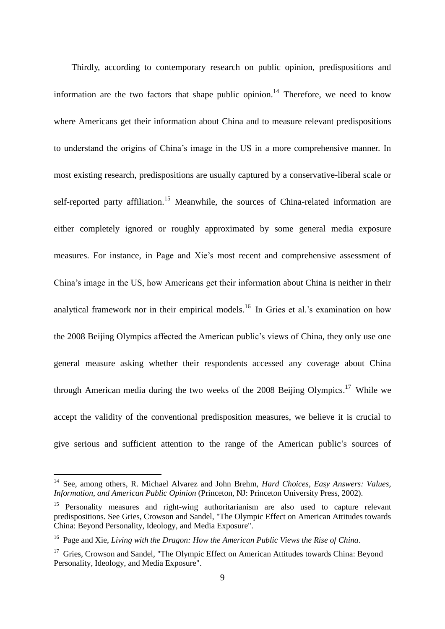Thirdly, according to contemporary research on public opinion, predispositions and information are the two factors that shape public opinion.<sup>14</sup> Therefore, we need to know where Americans get their information about China and to measure relevant predispositions to understand the origins of China's image in the US in a more comprehensive manner. In most existing research, predispositions are usually captured by a conservative-liberal scale or self-reported party affiliation.<sup>15</sup> Meanwhile, the sources of China-related information are either completely ignored or roughly approximated by some general media exposure measures. For instance, in Page and Xie's most recent and comprehensive assessment of China's image in the US, how Americans get their information about China is neither in their analytical framework nor in their empirical models.<sup>16</sup> In Gries et al.'s examination on how the 2008 Beijing Olympics affected the American public's views of China, they only use one general measure asking whether their respondents accessed any coverage about China through American media during the two weeks of the 2008 Beijing Olympics.<sup>17</sup> While we accept the validity of the conventional predisposition measures, we believe it is crucial to give serious and sufficient attention to the range of the American public's sources of

<sup>14</sup> See, among others, R. Michael Alvarez and John Brehm, *Hard Choices, Easy Answers: Values, Information, and American Public Opinion* (Princeton, NJ: Princeton University Press, 2002).

<sup>&</sup>lt;sup>15</sup> Personality measures and right-wing authoritarianism are also used to capture relevant predispositions. See Gries, Crowson and Sandel, "The Olympic Effect on American Attitudes towards China: Beyond Personality, Ideology, and Media Exposure".

<sup>16</sup> Page and Xie, *Living with the Dragon: How the American Public Views the Rise of China*.

<sup>&</sup>lt;sup>17</sup> Gries, Crowson and Sandel, "The Olympic Effect on American Attitudes towards China: Beyond Personality, Ideology, and Media Exposure".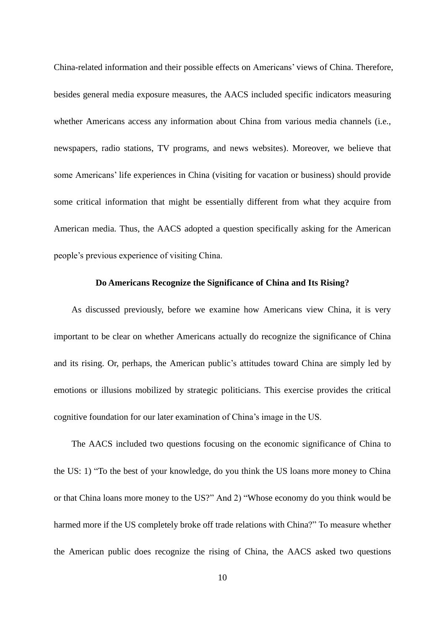China-related information and their possible effects on Americans' views of China. Therefore, besides general media exposure measures, the AACS included specific indicators measuring whether Americans access any information about China from various media channels (i.e., newspapers, radio stations, TV programs, and news websites). Moreover, we believe that some Americans' life experiences in China (visiting for vacation or business) should provide some critical information that might be essentially different from what they acquire from American media. Thus, the AACS adopted a question specifically asking for the American people's previous experience of visiting China.

## **Do Americans Recognize the Significance of China and Its Rising?**

As discussed previously, before we examine how Americans view China, it is very important to be clear on whether Americans actually do recognize the significance of China and its rising. Or, perhaps, the American public's attitudes toward China are simply led by emotions or illusions mobilized by strategic politicians. This exercise provides the critical cognitive foundation for our later examination of China's image in the US.

The AACS included two questions focusing on the economic significance of China to the US: 1) "To the best of your knowledge, do you think the US loans more money to China or that China loans more money to the US?" And 2) "Whose economy do you think would be harmed more if the US completely broke off trade relations with China?" To measure whether the American public does recognize the rising of China, the AACS asked two questions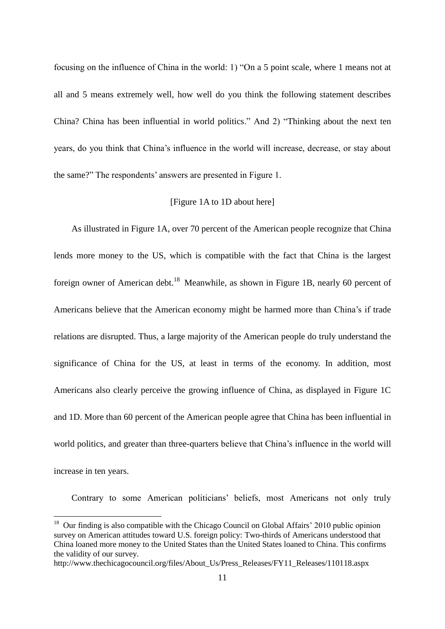focusing on the influence of China in the world: 1) "On a 5 point scale, where 1 means not at all and 5 means extremely well, how well do you think the following statement describes China? China has been influential in world politics." And 2) "Thinking about the next ten years, do you think that China's influence in the world will increase, decrease, or stay about the same?" The respondents' answers are presented in Figure 1.

# [Figure 1A to 1D about here]

As illustrated in Figure 1A, over 70 percent of the American people recognize that China lends more money to the US, which is compatible with the fact that China is the largest foreign owner of American debt.<sup>18</sup> Meanwhile, as shown in Figure 1B, nearly 60 percent of Americans believe that the American economy might be harmed more than China's if trade relations are disrupted. Thus, a large majority of the American people do truly understand the significance of China for the US, at least in terms of the economy. In addition, most Americans also clearly perceive the growing influence of China, as displayed in Figure 1C and 1D. More than 60 percent of the American people agree that China has been influential in world politics, and greater than three-quarters believe that China's influence in the world will increase in ten years.

Contrary to some American politicians' beliefs, most Americans not only truly

1

<sup>&</sup>lt;sup>18</sup> Our finding is also compatible with the Chicago Council on Global Affairs' 2010 public opinion survey on American attitudes toward U.S. foreign policy: Two-thirds of Americans understood that China loaned more money to the United States than the United States loaned to China. This confirms the validity of our survey.

http://www.thechicagocouncil.org/files/About\_Us/Press\_Releases/FY11\_Releases/110118.aspx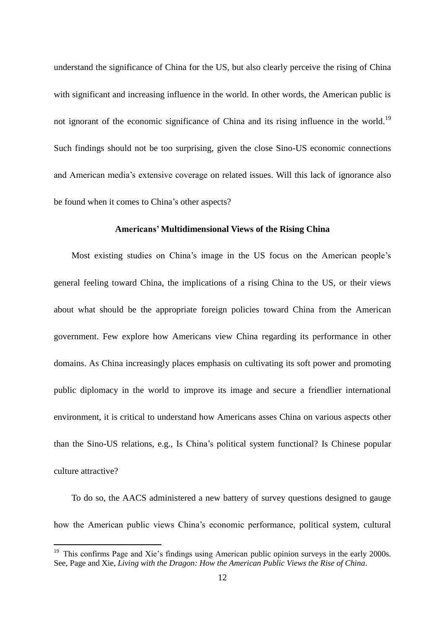understand the significance of China for the US, but also clearly perceive the rising of China with significant and increasing influence in the world. In other words, the American public is not ignorant of the economic significance of China and its rising influence in the world.<sup>19</sup> Such findings should not be too surprising, given the close Sino-US economic connections and American media's extensive coverage on related issues. Will this lack of ignorance also be found when it comes to China's other aspects?

#### **Americans' Multidimensional Views of the Rising China**

Most existing studies on China's image in the US focus on the American people's general feeling toward China, the implications of a rising China to the US, or their views about what should be the appropriate foreign policies toward China from the American government. Few explore how Americans view China regarding its performance in other domains. As China increasingly places emphasis on cultivating its soft power and promoting public diplomacy in the world to improve its image and secure a friendlier international environment, it is critical to understand how Americans asses China on various aspects other than the Sino-US relations, e.g., Is China's political system functional? Is Chinese popular culture attractive?

To do so, the AACS administered a new battery of survey questions designed to gauge how the American public views China's economic performance, political system, cultural

<sup>&</sup>lt;sup>19</sup> This confirms Page and Xie's findings using American public opinion surveys in the early 2000s. See, Page and Xie, *Living with the Dragon: How the American Public Views the Rise of China*.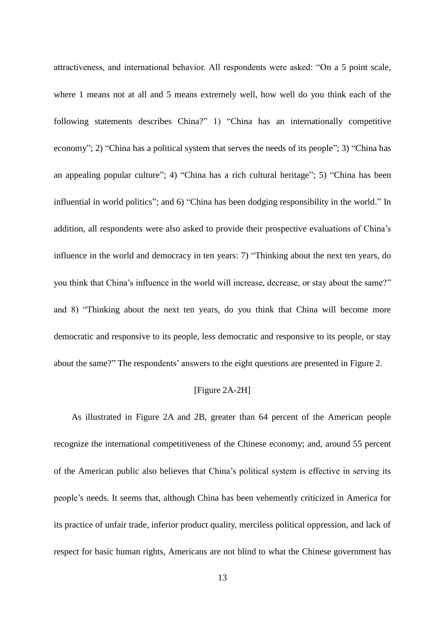attractiveness, and international behavior. All respondents were asked: "On a 5 point scale, where 1 means not at all and 5 means extremely well, how well do you think each of the following statements describes China?" 1) "China has an internationally competitive economy"; 2) "China has a political system that serves the needs of its people"; 3) "China has an appealing popular culture"; 4) "China has a rich cultural heritage"; 5) "China has been influential in world politics"; and 6) "China has been dodging responsibility in the world." In addition, all respondents were also asked to provide their prospective evaluations of China's influence in the world and democracy in ten years: 7) "Thinking about the next ten years, do you think that China's influence in the world will increase, decrease, or stay about the same?" and 8) "Thinking about the next ten years, do you think that China will become more democratic and responsive to its people, less democratic and responsive to its people, or stay about the same?" The respondents' answers to the eight questions are presented in Figure 2.

# [Figure 2A-2H]

As illustrated in Figure 2A and 2B, greater than 64 percent of the American people recognize the international competitiveness of the Chinese economy; and, around 55 percent of the American public also believes that China's political system is effective in serving its people's needs. It seems that, although China has been vehemently criticized in America for its practice of unfair trade, inferior product quality, merciless political oppression, and lack of respect for basic human rights, Americans are not blind to what the Chinese government has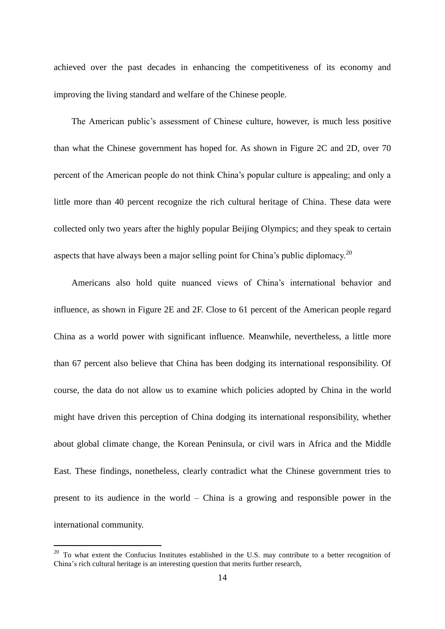achieved over the past decades in enhancing the competitiveness of its economy and improving the living standard and welfare of the Chinese people.

The American public's assessment of Chinese culture, however, is much less positive than what the Chinese government has hoped for. As shown in Figure 2C and 2D, over 70 percent of the American people do not think China's popular culture is appealing; and only a little more than 40 percent recognize the rich cultural heritage of China. These data were collected only two years after the highly popular Beijing Olympics; and they speak to certain aspects that have always been a major selling point for China's public diplomacy.<sup>20</sup>

Americans also hold quite nuanced views of China's international behavior and influence, as shown in Figure 2E and 2F. Close to 61 percent of the American people regard China as a world power with significant influence. Meanwhile, nevertheless, a little more than 67 percent also believe that China has been dodging its international responsibility. Of course, the data do not allow us to examine which policies adopted by China in the world might have driven this perception of China dodging its international responsibility, whether about global climate change, the Korean Peninsula, or civil wars in Africa and the Middle East. These findings, nonetheless, clearly contradict what the Chinese government tries to present to its audience in the world – China is a growing and responsible power in the international community.

 $20$  To what extent the Confucius Institutes established in the U.S. may contribute to a better recognition of China's rich cultural heritage is an interesting question that merits further research,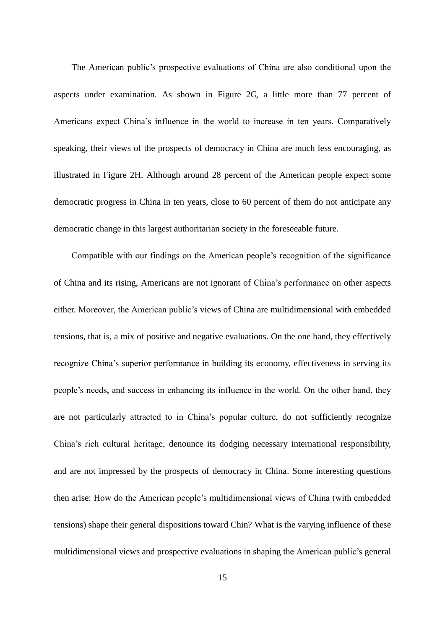The American public's prospective evaluations of China are also conditional upon the aspects under examination. As shown in Figure 2G, a little more than 77 percent of Americans expect China's influence in the world to increase in ten years. Comparatively speaking, their views of the prospects of democracy in China are much less encouraging, as illustrated in Figure 2H. Although around 28 percent of the American people expect some democratic progress in China in ten years, close to 60 percent of them do not anticipate any democratic change in this largest authoritarian society in the foreseeable future.

Compatible with our findings on the American people's recognition of the significance of China and its rising, Americans are not ignorant of China's performance on other aspects either. Moreover, the American public's views of China are multidimensional with embedded tensions, that is, a mix of positive and negative evaluations. On the one hand, they effectively recognize China's superior performance in building its economy, effectiveness in serving its people's needs, and success in enhancing its influence in the world. On the other hand, they are not particularly attracted to in China's popular culture, do not sufficiently recognize China's rich cultural heritage, denounce its dodging necessary international responsibility, and are not impressed by the prospects of democracy in China. Some interesting questions then arise: How do the American people's multidimensional views of China (with embedded tensions) shape their general dispositions toward Chin? What is the varying influence of these multidimensional views and prospective evaluations in shaping the American public's general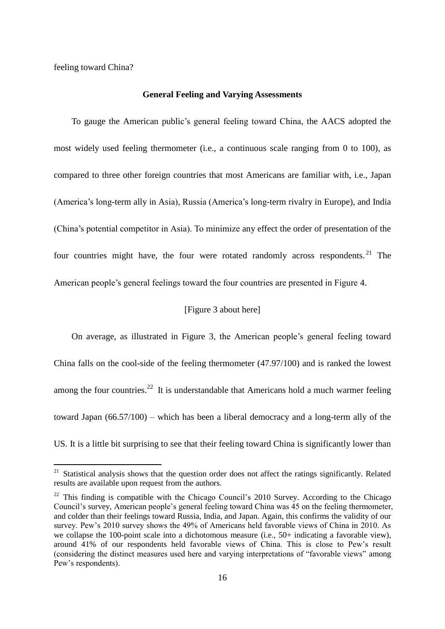feeling toward China?

-

#### **General Feeling and Varying Assessments**

To gauge the American public's general feeling toward China, the AACS adopted the most widely used feeling thermometer (i.e., a continuous scale ranging from 0 to 100), as compared to three other foreign countries that most Americans are familiar with, i.e., Japan (America's long-term ally in Asia), Russia (America's long-term rivalry in Europe), and India (China's potential competitor in Asia). To minimize any effect the order of presentation of the four countries might have, the four were rotated randomly across respondents.<sup>21</sup> The American people's general feelings toward the four countries are presented in Figure 4.

# [Figure 3 about here]

On average, as illustrated in Figure 3, the American people's general feeling toward China falls on the cool-side of the feeling thermometer (47.97/100) and is ranked the lowest among the four countries.<sup>22</sup> It is understandable that Americans hold a much warmer feeling toward Japan (66.57/100) – which has been a liberal democracy and a long-term ally of the US. It is a little bit surprising to see that their feeling toward China is significantly lower than

<sup>&</sup>lt;sup>21</sup> Statistical analysis shows that the question order does not affect the ratings significantly. Related results are available upon request from the authors.

 $22$  This finding is compatible with the Chicago Council's 2010 Survey. According to the Chicago Council's survey, American people's general feeling toward China was 45 on the feeling thermometer, and colder than their feelings toward Russia, India, and Japan. Again, this confirms the validity of our survey. Pew's 2010 survey shows the 49% of Americans held favorable views of China in 2010. As we collapse the 100-point scale into a dichotomous measure (i.e., 50+ indicating a favorable view), around 41% of our respondents held favorable views of China. This is close to Pew's result (considering the distinct measures used here and varying interpretations of "favorable views" among Pew's respondents).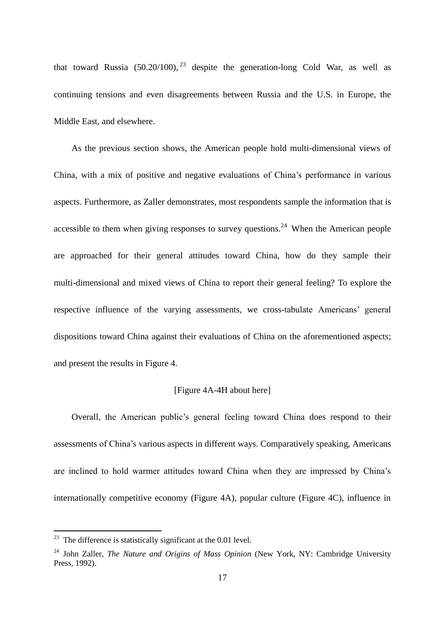that toward Russia  $(50.20/100)$ ,  $^{23}$  despite the generation-long Cold War, as well as continuing tensions and even disagreements between Russia and the U.S. in Europe, the Middle East, and elsewhere.

As the previous section shows, the American people hold multi-dimensional views of China, with a mix of positive and negative evaluations of China's performance in various aspects. Furthermore, as Zaller demonstrates, most respondents sample the information that is accessible to them when giving responses to survey questions.<sup>24</sup> When the American people are approached for their general attitudes toward China, how do they sample their multi-dimensional and mixed views of China to report their general feeling? To explore the respective influence of the varying assessments, we cross-tabulate Americans' general dispositions toward China against their evaluations of China on the aforementioned aspects; and present the results in Figure 4.

# [Figure 4A-4H about here]

Overall, the American public's general feeling toward China does respond to their assessments of China's various aspects in different ways. Comparatively speaking, Americans are inclined to hold warmer attitudes toward China when they are impressed by China's internationally competitive economy (Figure 4A), popular culture (Figure 4C), influence in

 $23$  The difference is statistically significant at the 0.01 level.

<sup>&</sup>lt;sup>24</sup> John Zaller, *The Nature and Origins of Mass Opinion* (New York, NY: Cambridge University Press, 1992).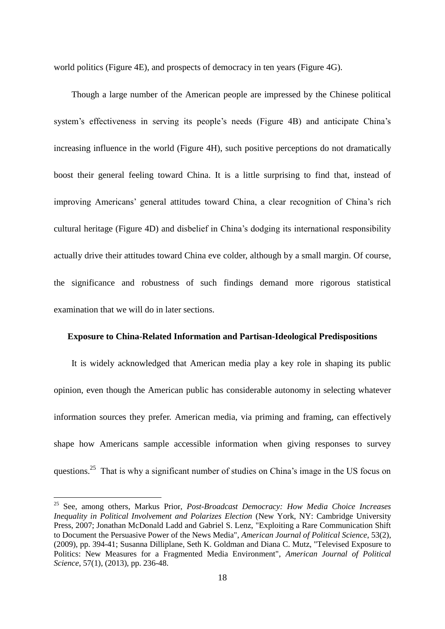world politics (Figure 4E), and prospects of democracy in ten years (Figure 4G).

Though a large number of the American people are impressed by the Chinese political system's effectiveness in serving its people's needs (Figure 4B) and anticipate China's increasing influence in the world (Figure 4H), such positive perceptions do not dramatically boost their general feeling toward China. It is a little surprising to find that, instead of improving Americans' general attitudes toward China, a clear recognition of China's rich cultural heritage (Figure 4D) and disbelief in China's dodging its international responsibility actually drive their attitudes toward China eve colder, although by a small margin. Of course, the significance and robustness of such findings demand more rigorous statistical examination that we will do in later sections.

## **Exposure to China-Related Information and Partisan-Ideological Predispositions**

It is widely acknowledged that American media play a key role in shaping its public opinion, even though the American public has considerable autonomy in selecting whatever information sources they prefer. American media, via priming and framing, can effectively shape how Americans sample accessible information when giving responses to survey questions.<sup>25</sup> That is why a significant number of studies on China's image in the US focus on

<sup>25</sup> See, among others, Markus Prior, *Post-Broadcast Democracy: How Media Choice Increases Inequality in Political Involvement and Polarizes Election (New York, NY: Cambridge University* Press, 2007; Jonathan McDonald Ladd and Gabriel S. Lenz, "Exploiting a Rare Communication Shift to Document the Persuasive Power of the News Media", *American Journal of Political Science*, 53(2), (2009), pp. 394-41; Susanna Dilliplane, Seth K. Goldman and Diana C. Mutz, "Televised Exposure to Politics: New Measures for a Fragmented Media Environment", *American Journal of Political Science*, 57(1), (2013), pp. 236-48.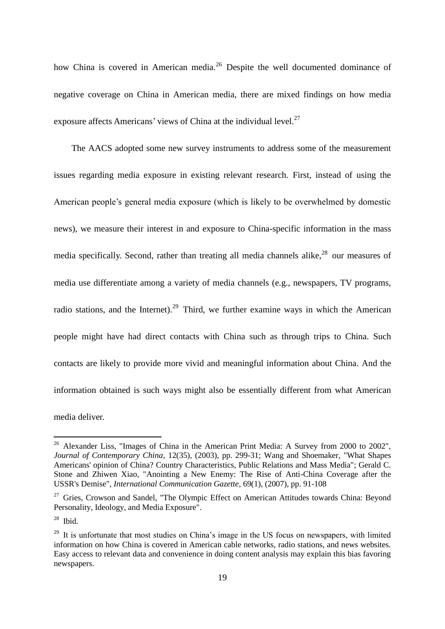how China is covered in American media.<sup>26</sup> Despite the well documented dominance of negative coverage on China in American media, there are mixed findings on how media exposure affects Americans' views of China at the individual level.<sup>27</sup>

The AACS adopted some new survey instruments to address some of the measurement issues regarding media exposure in existing relevant research. First, instead of using the American people's general media exposure (which is likely to be overwhelmed by domestic news), we measure their interest in and exposure to China-specific information in the mass media specifically. Second, rather than treating all media channels alike,<sup>28</sup> our measures of media use differentiate among a variety of media channels (e.g., newspapers, TV programs, radio stations, and the Internet).<sup>29</sup> Third, we further examine ways in which the American people might have had direct contacts with China such as through trips to China. Such contacts are likely to provide more vivid and meaningful information about China. And the information obtained is such ways might also be essentially different from what American media deliver.

 $26$  Alexander Liss, "Images of China in the American Print Media: A Survey from 2000 to 2002", *Journal of Contemporary China*, 12(35), (2003), pp. 299-31; Wang and Shoemaker, "What Shapes Americans' opinion of China? Country Characteristics, Public Relations and Mass Media"; Gerald C. Stone and Zhiwen Xiao, "Anointing a New Enemy: The Rise of Anti-China Coverage after the USSR's Demise", *International Communication Gazette*, 69(1), (2007), pp. 91-108

<sup>&</sup>lt;sup>27</sup> Gries, Crowson and Sandel, "The Olympic Effect on American Attitudes towards China: Beyond Personality, Ideology, and Media Exposure".

 $28$  Ibid.

<sup>&</sup>lt;sup>29</sup> It is unfortunate that most studies on China's image in the US focus on newspapers, with limited information on how China is covered in American cable networks, radio stations, and news websites. Easy access to relevant data and convenience in doing content analysis may explain this bias favoring newspapers.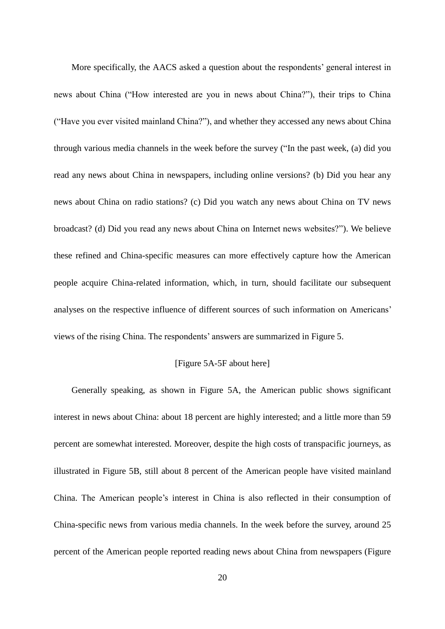More specifically, the AACS asked a question about the respondents' general interest in news about China ("How interested are you in news about China?"), their trips to China ("Have you ever visited mainland China?"), and whether they accessed any news about China through various media channels in the week before the survey ("In the past week, (a) did you read any news about China in newspapers, including online versions? (b) Did you hear any news about China on radio stations? (c) Did you watch any news about China on TV news broadcast? (d) Did you read any news about China on Internet news websites?"). We believe these refined and China-specific measures can more effectively capture how the American people acquire China-related information, which, in turn, should facilitate our subsequent analyses on the respective influence of different sources of such information on Americans' views of the rising China. The respondents' answers are summarized in Figure 5.

#### [Figure 5A-5F about here]

Generally speaking, as shown in Figure 5A, the American public shows significant interest in news about China: about 18 percent are highly interested; and a little more than 59 percent are somewhat interested. Moreover, despite the high costs of transpacific journeys, as illustrated in Figure 5B, still about 8 percent of the American people have visited mainland China. The American people's interest in China is also reflected in their consumption of China-specific news from various media channels. In the week before the survey, around 25 percent of the American people reported reading news about China from newspapers (Figure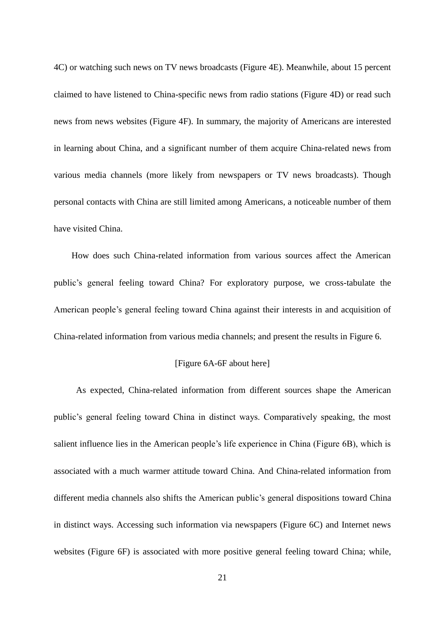4C) or watching such news on TV news broadcasts (Figure 4E). Meanwhile, about 15 percent claimed to have listened to China-specific news from radio stations (Figure 4D) or read such news from news websites (Figure 4F). In summary, the majority of Americans are interested in learning about China, and a significant number of them acquire China-related news from various media channels (more likely from newspapers or TV news broadcasts). Though personal contacts with China are still limited among Americans, a noticeable number of them have visited China.

How does such China-related information from various sources affect the American public's general feeling toward China? For exploratory purpose, we cross-tabulate the American people's general feeling toward China against their interests in and acquisition of China-related information from various media channels; and present the results in Figure 6.

# [Figure 6A-6F about here]

As expected, China-related information from different sources shape the American public's general feeling toward China in distinct ways. Comparatively speaking, the most salient influence lies in the American people's life experience in China (Figure 6B), which is associated with a much warmer attitude toward China. And China-related information from different media channels also shifts the American public's general dispositions toward China in distinct ways. Accessing such information via newspapers (Figure 6C) and Internet news websites (Figure 6F) is associated with more positive general feeling toward China; while,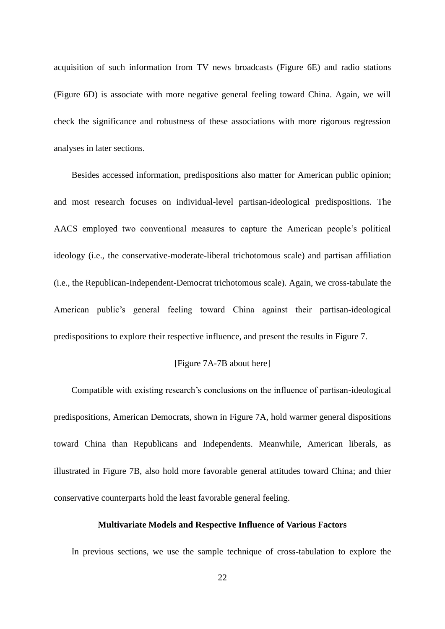acquisition of such information from TV news broadcasts (Figure 6E) and radio stations (Figure 6D) is associate with more negative general feeling toward China. Again, we will check the significance and robustness of these associations with more rigorous regression analyses in later sections.

Besides accessed information, predispositions also matter for American public opinion; and most research focuses on individual-level partisan-ideological predispositions. The AACS employed two conventional measures to capture the American people's political ideology (i.e., the conservative-moderate-liberal trichotomous scale) and partisan affiliation (i.e., the Republican-Independent-Democrat trichotomous scale). Again, we cross-tabulate the American public's general feeling toward China against their partisan-ideological predispositions to explore their respective influence, and present the results in Figure 7.

#### [Figure 7A-7B about here]

Compatible with existing research's conclusions on the influence of partisan-ideological predispositions, American Democrats, shown in Figure 7A, hold warmer general dispositions toward China than Republicans and Independents. Meanwhile, American liberals, as illustrated in Figure 7B, also hold more favorable general attitudes toward China; and thier conservative counterparts hold the least favorable general feeling.

#### **Multivariate Models and Respective Influence of Various Factors**

In previous sections, we use the sample technique of cross-tabulation to explore the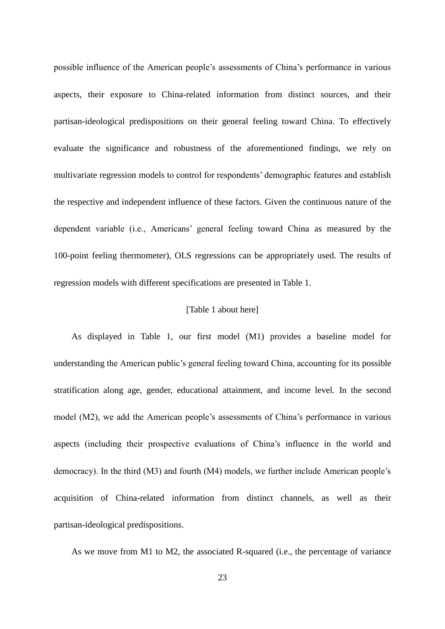possible influence of the American people's assessments of China's performance in various aspects, their exposure to China-related information from distinct sources, and their partisan-ideological predispositions on their general feeling toward China. To effectively evaluate the significance and robustness of the aforementioned findings, we rely on multivariate regression models to control for respondents' demographic features and establish the respective and independent influence of these factors. Given the continuous nature of the dependent variable (i.e., Americans' general feeling toward China as measured by the 100-point feeling thermometer), OLS regressions can be appropriately used. The results of regression models with different specifications are presented in Table 1.

### [Table 1 about here]

As displayed in Table 1, our first model (M1) provides a baseline model for understanding the American public's general feeling toward China, accounting for its possible stratification along age, gender, educational attainment, and income level. In the second model (M2), we add the American people's assessments of China's performance in various aspects (including their prospective evaluations of China's influence in the world and democracy). In the third (M3) and fourth (M4) models, we further include American people's acquisition of China-related information from distinct channels, as well as their partisan-ideological predispositions.

As we move from M1 to M2, the associated R-squared (i.e., the percentage of variance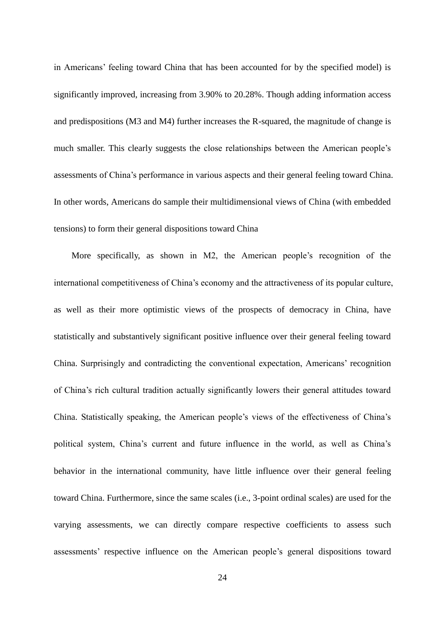in Americans' feeling toward China that has been accounted for by the specified model) is significantly improved, increasing from 3.90% to 20.28%. Though adding information access and predispositions (M3 and M4) further increases the R-squared, the magnitude of change is much smaller. This clearly suggests the close relationships between the American people's assessments of China's performance in various aspects and their general feeling toward China. In other words, Americans do sample their multidimensional views of China (with embedded tensions) to form their general dispositions toward China

More specifically, as shown in M2, the American people's recognition of the international competitiveness of China's economy and the attractiveness of its popular culture, as well as their more optimistic views of the prospects of democracy in China, have statistically and substantively significant positive influence over their general feeling toward China. Surprisingly and contradicting the conventional expectation, Americans' recognition of China's rich cultural tradition actually significantly lowers their general attitudes toward China. Statistically speaking, the American people's views of the effectiveness of China's political system, China's current and future influence in the world, as well as China's behavior in the international community, have little influence over their general feeling toward China. Furthermore, since the same scales (i.e., 3-point ordinal scales) are used for the varying assessments, we can directly compare respective coefficients to assess such assessments' respective influence on the American people's general dispositions toward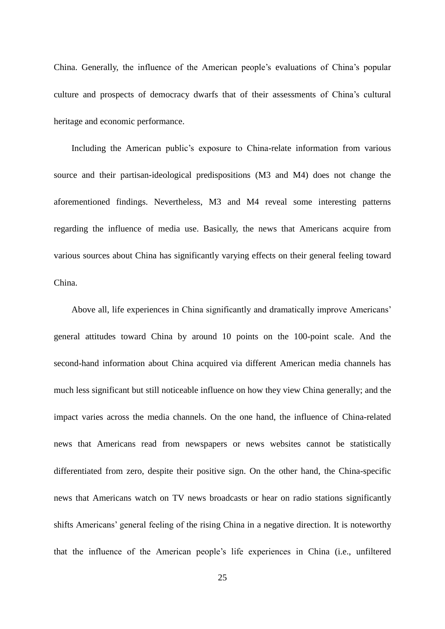China. Generally, the influence of the American people's evaluations of China's popular culture and prospects of democracy dwarfs that of their assessments of China's cultural heritage and economic performance.

Including the American public's exposure to China-relate information from various source and their partisan-ideological predispositions (M3 and M4) does not change the aforementioned findings. Nevertheless, M3 and M4 reveal some interesting patterns regarding the influence of media use. Basically, the news that Americans acquire from various sources about China has significantly varying effects on their general feeling toward China.

Above all, life experiences in China significantly and dramatically improve Americans' general attitudes toward China by around 10 points on the 100-point scale. And the second-hand information about China acquired via different American media channels has much less significant but still noticeable influence on how they view China generally; and the impact varies across the media channels. On the one hand, the influence of China-related news that Americans read from newspapers or news websites cannot be statistically differentiated from zero, despite their positive sign. On the other hand, the China-specific news that Americans watch on TV news broadcasts or hear on radio stations significantly shifts Americans' general feeling of the rising China in a negative direction. It is noteworthy that the influence of the American people's life experiences in China (i.e., unfiltered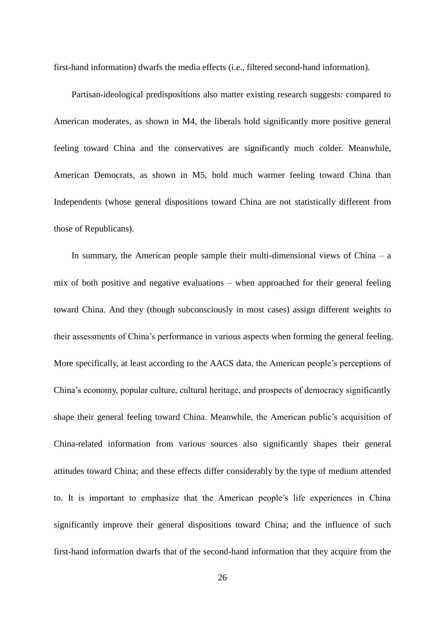first-hand information) dwarfs the media effects (i.e., filtered second-hand information).

Partisan-ideological predispositions also matter existing research suggests: compared to American moderates, as shown in M4, the liberals hold significantly more positive general feeling toward China and the conservatives are significantly much colder. Meanwhile, American Democrats, as shown in M5, hold much warmer feeling toward China than Independents (whose general dispositions toward China are not statistically different from those of Republicans).

In summary, the American people sample their multi-dimensional views of China – a mix of both positive and negative evaluations – when approached for their general feeling toward China. And they (though subconsciously in most cases) assign different weights to their assessments of China's performance in various aspects when forming the general feeling. More specifically, at least according to the AACS data, the American people's perceptions of China's economy, popular culture, cultural heritage, and prospects of democracy significantly shape their general feeling toward China. Meanwhile, the American public's acquisition of China-related information from various sources also significantly shapes their general attitudes toward China; and these effects differ considerably by the type of medium attended to. It is important to emphasize that the American people's life experiences in China significantly improve their general dispositions toward China; and the influence of such first-hand information dwarfs that of the second-hand information that they acquire from the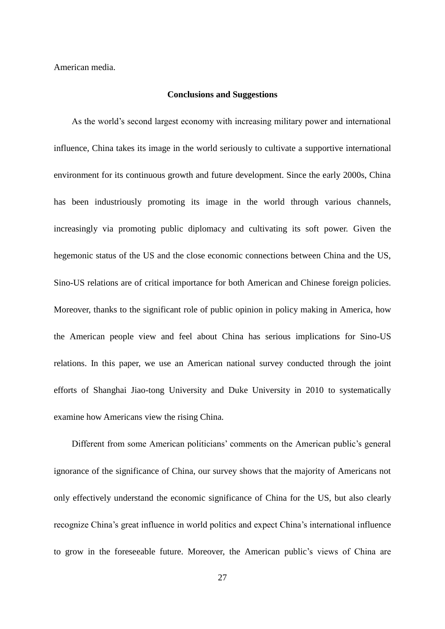American media.

#### **Conclusions and Suggestions**

As the world's second largest economy with increasing military power and international influence, China takes its image in the world seriously to cultivate a supportive international environment for its continuous growth and future development. Since the early 2000s, China has been industriously promoting its image in the world through various channels, increasingly via promoting public diplomacy and cultivating its soft power. Given the hegemonic status of the US and the close economic connections between China and the US, Sino-US relations are of critical importance for both American and Chinese foreign policies. Moreover, thanks to the significant role of public opinion in policy making in America, how the American people view and feel about China has serious implications for Sino-US relations. In this paper, we use an American national survey conducted through the joint efforts of Shanghai Jiao-tong University and Duke University in 2010 to systematically examine how Americans view the rising China.

Different from some American politicians' comments on the American public's general ignorance of the significance of China, our survey shows that the majority of Americans not only effectively understand the economic significance of China for the US, but also clearly recognize China's great influence in world politics and expect China's international influence to grow in the foreseeable future. Moreover, the American public's views of China are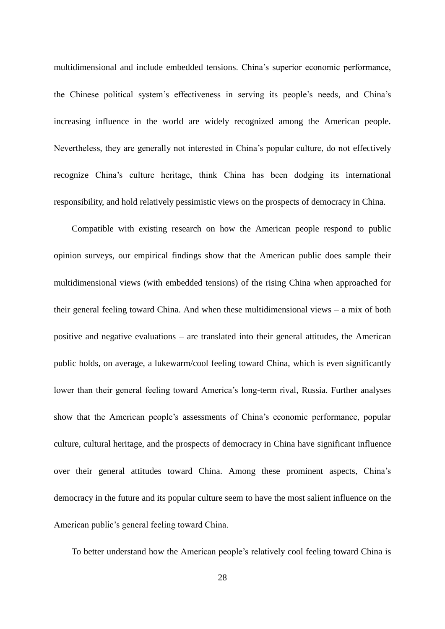multidimensional and include embedded tensions. China's superior economic performance, the Chinese political system's effectiveness in serving its people's needs, and China's increasing influence in the world are widely recognized among the American people. Nevertheless, they are generally not interested in China's popular culture, do not effectively recognize China's culture heritage, think China has been dodging its international responsibility, and hold relatively pessimistic views on the prospects of democracy in China.

Compatible with existing research on how the American people respond to public opinion surveys, our empirical findings show that the American public does sample their multidimensional views (with embedded tensions) of the rising China when approached for their general feeling toward China. And when these multidimensional views – a mix of both positive and negative evaluations – are translated into their general attitudes, the American public holds, on average, a lukewarm/cool feeling toward China, which is even significantly lower than their general feeling toward America's long-term rival, Russia. Further analyses show that the American people's assessments of China's economic performance, popular culture, cultural heritage, and the prospects of democracy in China have significant influence over their general attitudes toward China. Among these prominent aspects, China's democracy in the future and its popular culture seem to have the most salient influence on the American public's general feeling toward China.

To better understand how the American people's relatively cool feeling toward China is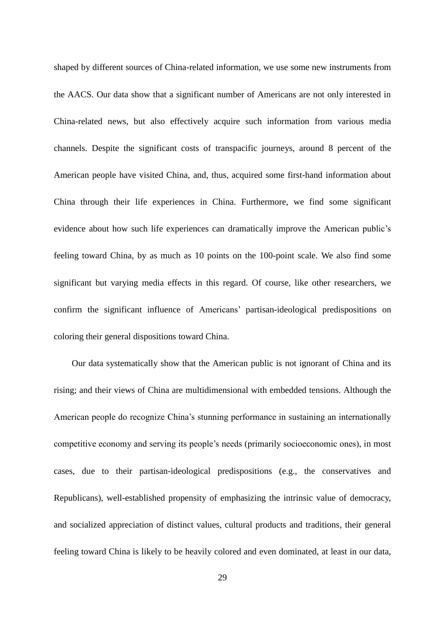shaped by different sources of China-related information, we use some new instruments from the AACS. Our data show that a significant number of Americans are not only interested in China-related news, but also effectively acquire such information from various media channels. Despite the significant costs of transpacific journeys, around 8 percent of the American people have visited China, and, thus, acquired some first-hand information about China through their life experiences in China. Furthermore, we find some significant evidence about how such life experiences can dramatically improve the American public's feeling toward China, by as much as 10 points on the 100-point scale. We also find some significant but varying media effects in this regard. Of course, like other researchers, we confirm the significant influence of Americans' partisan-ideological predispositions on coloring their general dispositions toward China.

Our data systematically show that the American public is not ignorant of China and its rising; and their views of China are multidimensional with embedded tensions. Although the American people do recognize China's stunning performance in sustaining an internationally competitive economy and serving its people's needs (primarily socioeconomic ones), in most cases, due to their partisan-ideological predispositions (e.g., the conservatives and Republicans), well-established propensity of emphasizing the intrinsic value of democracy, and socialized appreciation of distinct values, cultural products and traditions, their general feeling toward China is likely to be heavily colored and even dominated, at least in our data,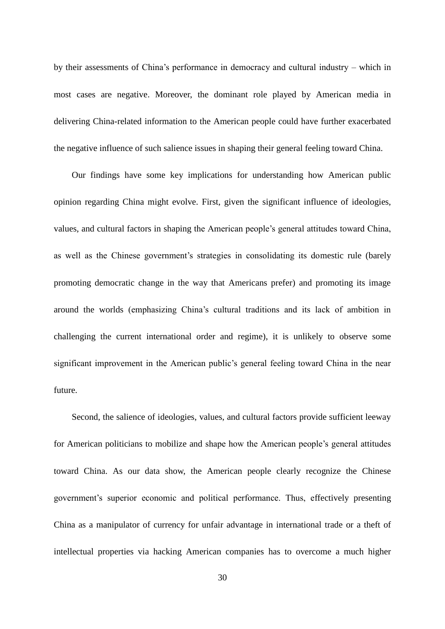by their assessments of China's performance in democracy and cultural industry – which in most cases are negative. Moreover, the dominant role played by American media in delivering China-related information to the American people could have further exacerbated the negative influence of such salience issues in shaping their general feeling toward China.

Our findings have some key implications for understanding how American public opinion regarding China might evolve. First, given the significant influence of ideologies, values, and cultural factors in shaping the American people's general attitudes toward China, as well as the Chinese government's strategies in consolidating its domestic rule (barely promoting democratic change in the way that Americans prefer) and promoting its image around the worlds (emphasizing China's cultural traditions and its lack of ambition in challenging the current international order and regime), it is unlikely to observe some significant improvement in the American public's general feeling toward China in the near future.

Second, the salience of ideologies, values, and cultural factors provide sufficient leeway for American politicians to mobilize and shape how the American people's general attitudes toward China. As our data show, the American people clearly recognize the Chinese government's superior economic and political performance. Thus, effectively presenting China as a manipulator of currency for unfair advantage in international trade or a theft of intellectual properties via hacking American companies has to overcome a much higher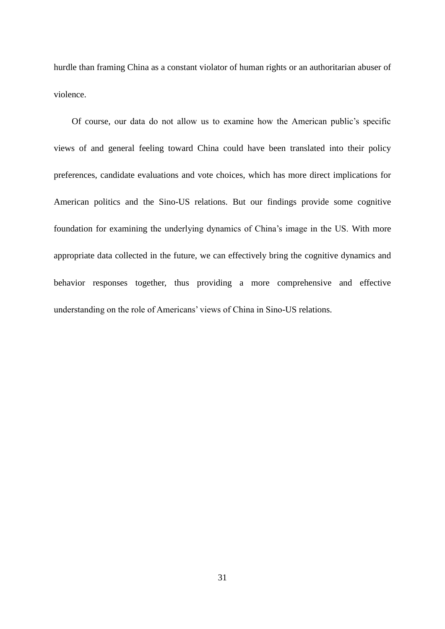hurdle than framing China as a constant violator of human rights or an authoritarian abuser of violence.

Of course, our data do not allow us to examine how the American public's specific views of and general feeling toward China could have been translated into their policy preferences, candidate evaluations and vote choices, which has more direct implications for American politics and the Sino-US relations. But our findings provide some cognitive foundation for examining the underlying dynamics of China's image in the US. With more appropriate data collected in the future, we can effectively bring the cognitive dynamics and behavior responses together, thus providing a more comprehensive and effective understanding on the role of Americans' views of China in Sino-US relations.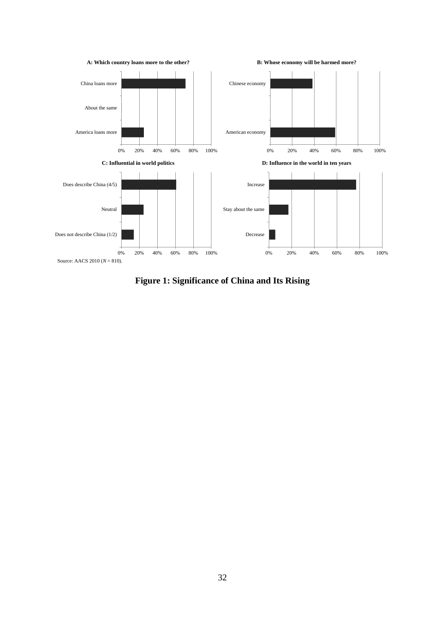

**Figure 1: Significance of China and Its Rising**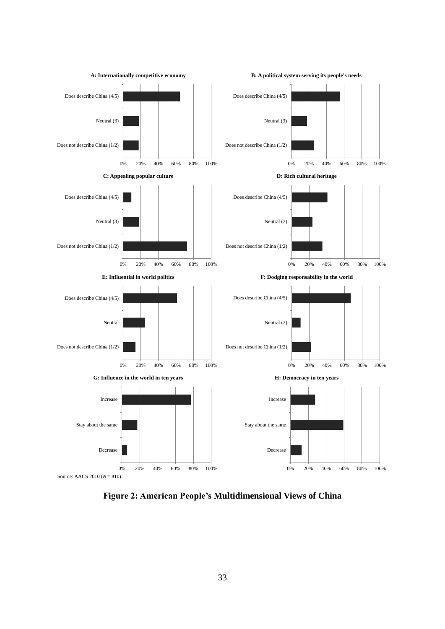

**Figure 2: American People's Multidimensional Views of China**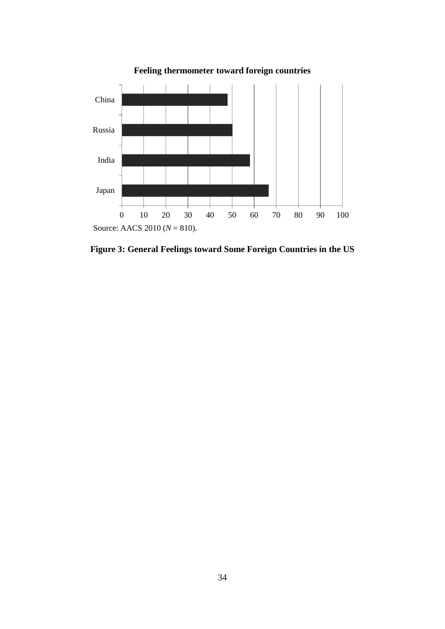

**Feeling thermometer toward foreign countries**

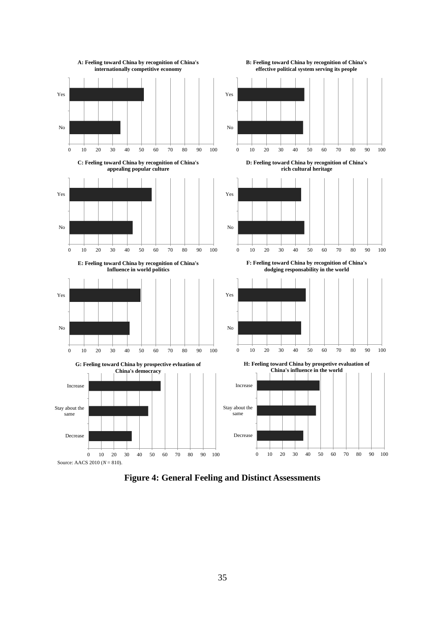

**Figure 4: General Feeling and Distinct Assessments**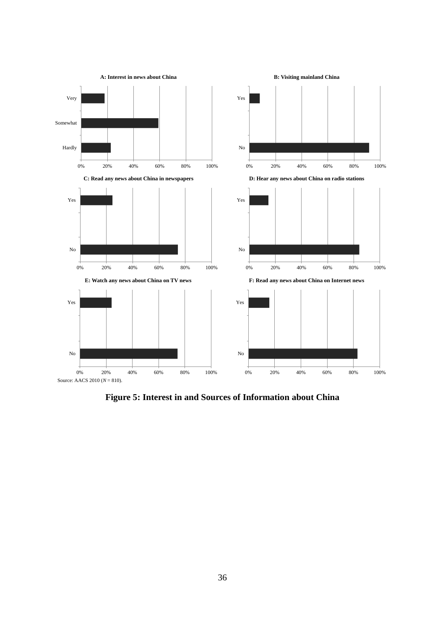

**Figure 5: Interest in and Sources of Information about China**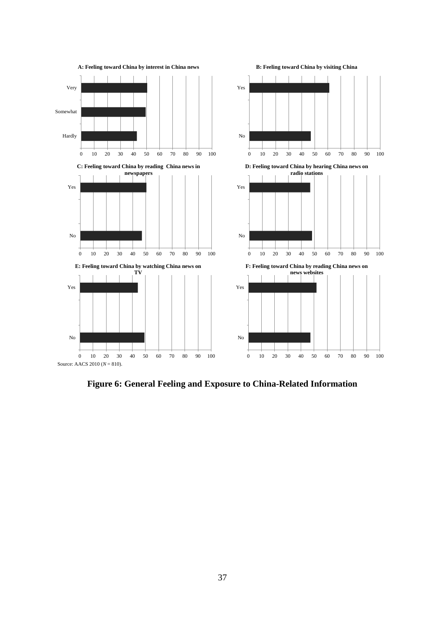

**Figure 6: General Feeling and Exposure to China-Related Information**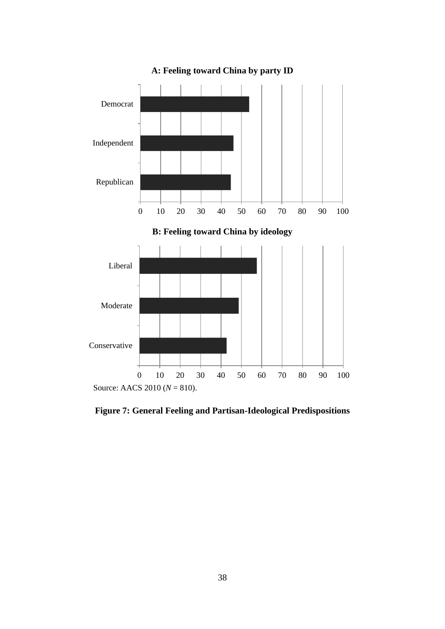

**A: Feeling toward China by party ID**

**Figure 7: General Feeling and Partisan-Ideological Predispositions**